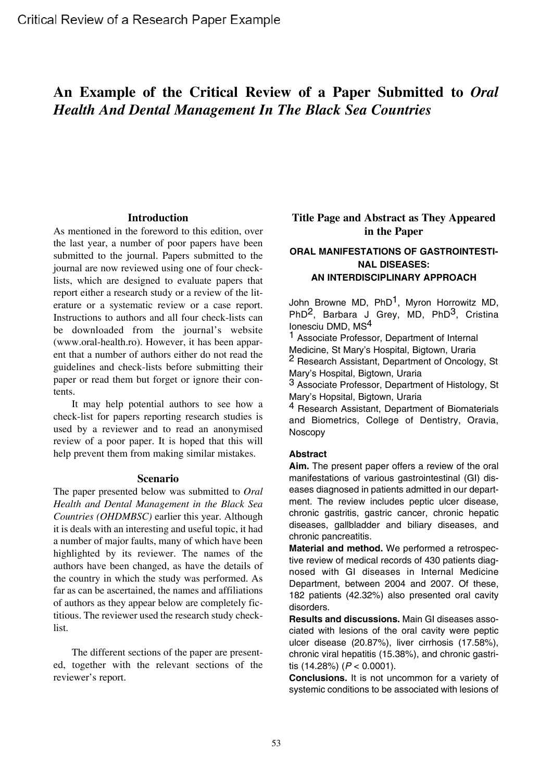# **An Example of the Critical Review of a Paper Submitted to** *Oral Health And Dental Management In The Black Sea Countries*

#### **Introduction**

As mentioned in the foreword to this edition, over the last year, a number of poor papers have been submitted to the journal. Papers submitted to the journal are now reviewed using one of four checklists, which are designed to evaluate papers that report either a research study or a review of the literature or a systematic review or a case report. Instructions to authors and all four check-lists can be downloaded from the journal's website (www.oral-health.ro). However, it has been apparent that a number of authors either do not read the guidelines and check-lists before submitting their paper or read them but forget or ignore their contents.

It may help potential authors to see how a check-list for papers reporting research studies is used by a reviewer and to read an anonymised review of a poor paper. It is hoped that this will help prevent them from making similar mistakes.

#### **Scenario**

The paper presented below was submitted to *Oral Health and Dental Management in the Black Sea Countries (OHDMBSC)* earlier this year. Although it is deals with an interesting and useful topic, it had a number of major faults, many of which have been highlighted by its reviewer. The names of the authors have been changed, as have the details of the country in which the study was performed. As far as can be ascertained, the names and affiliations of authors as they appear below are completely fictitious. The reviewer used the research study checklist.

The different sections of the paper are presented, together with the relevant sections of the reviewer's report.

# **Title Page and Abstract as They Appeared in the Paper**

# **ORAL MANIFESTATIONS OF GASTROINTESTI-NAL DISEASES: AN INTERDISCIPLINARY APPROACH**

John Browne MD, PhD<sup>1</sup>, Myron Horrowitz MD, PhD<sup>2</sup>, Barbara J Grey, MD, PhD<sup>3</sup>, Cristina Ionesciu DMD, MS<sup>4</sup>

1 Associate Professor, Department of Internal Medicine, St Mary's Hospital, Bigtown, Uraria 2 Research Assistant, Department of Oncology, St Mary's Hospital, Bigtown, Uraria

3 Associate Professor, Department of Histology, St Mary's Hopsital, Bigtown, Uraria

4 Research Assistant, Department of Biomaterials and Biometrics, College of Dentistry, Oravia, Noscopy

## **Abstract**

**Aim.** The present paper offers a review of the oral manifestations of various gastrointestinal (GI) diseases diagnosed in patients admitted in our department. The review includes peptic ulcer disease, chronic gastritis, gastric cancer, chronic hepatic diseases, gallbladder and biliary diseases, and chronic pancreatitis.

**Material and method.** We performed a retrospective review of medical records of 430 patients diagnosed with GI diseases in Internal Medicine Department, between 2004 and 2007. Of these, 182 patients (42.32%) also presented oral cavity disorders.

**Results and discussions.** Main GI diseases associated with lesions of the oral cavity were peptic ulcer disease (20.87%), liver cirrhosis (17.58%), chronic viral hepatitis (15.38%), and chronic gastritis (14.28%) (*P* < 0.0001).

**Conclusions.** It is not uncommon for a variety of systemic conditions to be associated with lesions of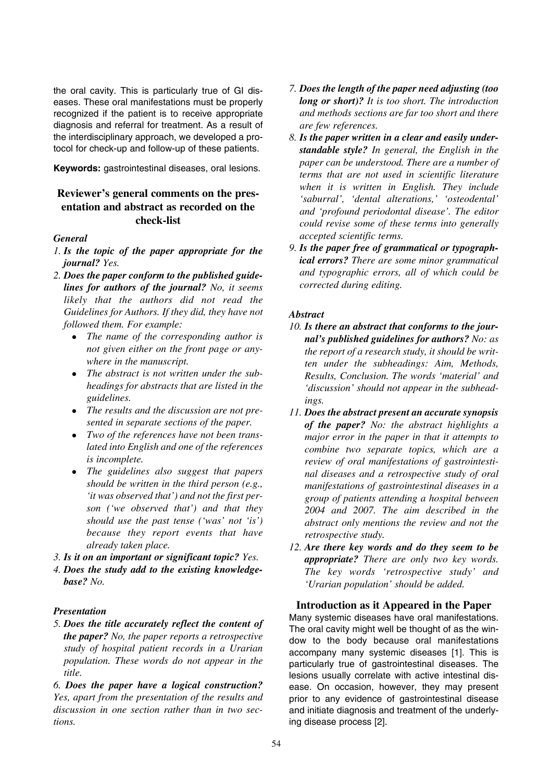the oral cavity. This is particularly true of GI diseases. These oral manifestations must be properly recognized if the patient is to receive appropriate diagnosis and referral for treatment. As a result of the interdisciplinary approach, we developed a protocol for check-up and follow-up of these patients.

**Keywords:** gastrointestinal diseases, oral lesions.

# **Reviewer's general comments on the presentation and abstract as recorded on the check-list**

#### *General*

- *1. Is the topic of the paper appropriate for the journal? Yes.*
- *2. Does the paper conform to the published guidelines for authors of the journal? No, it seems likely that the authors did not read the Guidelines for Authors. If they did, they have not followed them. For example:*
	- <sup>z</sup> *The name of the corresponding author is not given either on the front page or anywhere in the manuscript.*
	- The abstract is not written under the sub*headings for abstracts that are listed in the guidelines.*
	- The results and the discussion are not pre*sented in separate sections of the paper.*
	- <sup>z</sup> *Two of the references have not been translated into English and one of the references is incomplete.*
	- *The guidelines also suggest that papers should be written in the third person (e.g., 'it was observed that') and not the first person ('we observed that') and that they should use the past tense ('was' not 'is') because they report events that have already taken place.*
- *3. Is it on an important or significant topic? Yes.*
- *4. Does the study add to the existing knowledgebase? No.*

## *Presentation*

*5. Does the title accurately reflect the content of the paper? No, the paper reports a retrospective study of hospital patient records in a Urarian population. These words do not appear in the title.*

*6. Does the paper have a logical construction? Yes, apart from the presentation of the results and discussion in one section rather than in two sections.*

- *7. Does the length of the paper need adjusting (too long or short)? It is too short. The introduction and methods sections are far too short and there are few references.*
- *8. Is the paper written in a clear and easily understandable style? In general, the English in the paper can be understood. There are a number of terms that are not used in scientific literature when it is written in English. They include 'saburral', 'dental alterations,' 'osteodental' and 'profound periodontal disease'. The editor could revise some of these terms into generally accepted scientific terms.*
- *9. Is the paper free of grammatical or typographical errors? There are some minor grammatical and typographic errors, all of which could be corrected during editing.*

## *Abstract*

- *10. Is there an abstract that conforms to the journal's published guidelines for authors? No: as the report of a research study, it should be written under the subheadings: Aim, Methods, Results, Conclusion. The words 'material' and 'discussion' should not appear in the subheadings.*
- *11. Does the abstract present an accurate synopsis of the paper? No: the abstract highlights a major error in the paper in that it attempts to combine two separate topics, which are a review of oral manifestations of gastrointestinal diseases and a retrospective study of oral manifestations of gastrointestinal diseases in a group of patients attending a hospital between 2004 and 2007. The aim described in the abstract only mentions the review and not the retrospective study.*
- *12. Are there key words and do they seem to be appropriate? There are only two key words. The key words 'retrospective study' and 'Urarian population' should be added.*

## **Introduction as it Appeared in the Paper**

Many systemic diseases have oral manifestations. The oral cavity might well be thought of as the window to the body because oral manifestations accompany many systemic diseases [1]. This is particularly true of gastrointestinal diseases. The lesions usually correlate with active intestinal disease. On occasion, however, they may present prior to any evidence of gastrointestinal disease and initiate diagnosis and treatment of the underlying disease process [2].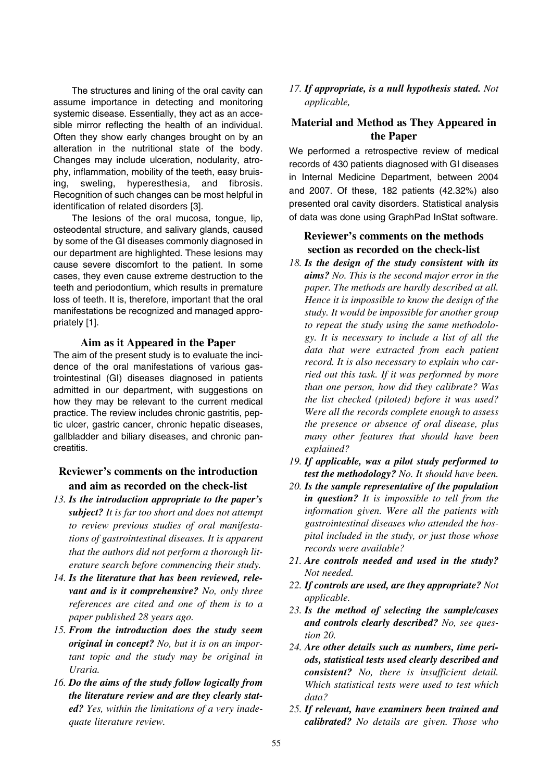The structures and lining of the oral cavity can assume importance in detecting and monitoring systemic disease. Essentially, they act as an accesible mirror reflecting the health of an individual. Often they show early changes brought on by an alteration in the nutritional state of the body. Changes may include ulceration, nodularity, atrophy, inflammation, mobility of the teeth, easy bruising, sweling, hyperesthesia, and fibrosis. Recognition of such changes can be most helpful in identification of related disorders [3].

The lesions of the oral mucosa, tongue, lip, osteodental structure, and salivary glands, caused by some of the GI diseases commonly diagnosed in our department are highlighted. These lesions may cause severe discomfort to the patient. In some cases, they even cause extreme destruction to the teeth and periodontium, which results in premature loss of teeth. It is, therefore, important that the oral manifestations be recognized and managed appropriately [1].

#### **Aim as it Appeared in the Paper**

The aim of the present study is to evaluate the incidence of the oral manifestations of various gastrointestinal (GI) diseases diagnosed in patients admitted in our department, with suggestions on how they may be relevant to the current medical practice. The review includes chronic gastritis, peptic ulcer, gastric cancer, chronic hepatic diseases, gallbladder and biliary diseases, and chronic pancreatitis.

## **Reviewer's comments on the introduction and aim as recorded on the check-list**

- *13. Is the introduction appropriate to the paper's subject? It is far too short and does not attempt to review previous studies of oral manifestations of gastrointestinal diseases. It is apparent that the authors did not perform a thorough literature search before commencing their study.*
- *14. Is the literature that has been reviewed, relevant and is it comprehensive? No, only three references are cited and one of them is to a paper published 28 years ago.*
- *15. From the introduction does the study seem original in concept? No, but it is on an important topic and the study may be original in Uraria.*
- *16. Do the aims of the study follow logically from the literature review and are they clearly stated? Yes, within the limitations of a very inadequate literature review.*

*17. If appropriate, is a null hypothesis stated. Not applicable,*

# **Material and Method as They Appeared in the Paper**

We performed a retrospective review of medical records of 430 patients diagnosed with GI diseases in Internal Medicine Department, between 2004 and 2007. Of these, 182 patients (42.32%) also presented oral cavity disorders. Statistical analysis of data was done using GraphPad InStat software.

# **Reviewer's comments on the methods section as recorded on the check-list**

- *18. Is the design of the study consistent with its aims? No. This is the second major error in the paper. The methods are hardly described at all. Hence it is impossible to know the design of the study. It would be impossible for another group to repeat the study using the same methodology. It is necessary to include a list of all the data that were extracted from each patient record. It is also necessary to explain who carried out this task. If it was performed by more than one person, how did they calibrate? Was the list checked (piloted) before it was used? Were all the records complete enough to assess the presence or absence of oral disease, plus many other features that should have been explained?*
- *19. If applicable, was a pilot study performed to test the methodology? No. It should have been.*
- *20. Is the sample representative of the population in question? It is impossible to tell from the information given. Were all the patients with gastrointestinal diseases who attended the hospital included in the study, or just those whose records were available?*
- *21. Are controls needed and used in the study? Not needed.*
- *22. If controls are used, are they appropriate? Not applicable.*
- *23. Is the method of selecting the sample/cases and controls clearly described? No, see question 20.*
- *24. Are other details such as numbers, time periods, statistical tests used clearly described and consistent? No, there is insufficient detail. Which statistical tests were used to test which data?*
- *25. If relevant, have examiners been trained and calibrated? No details are given. Those who*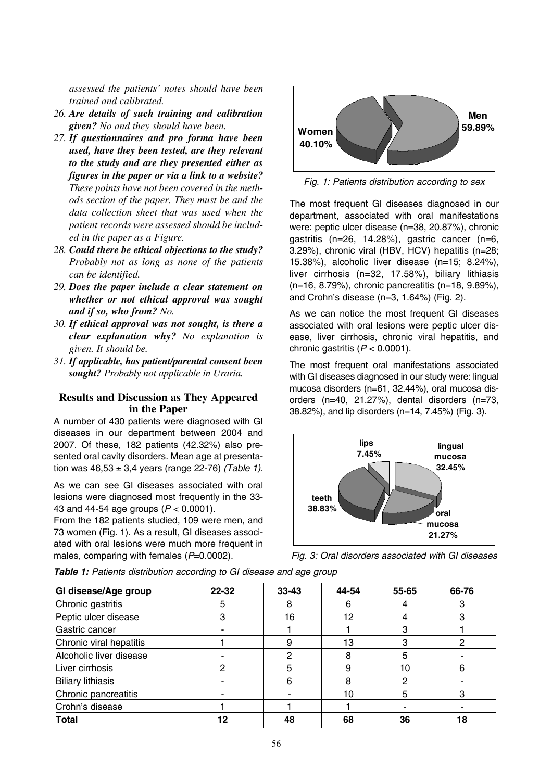*assessed the patients' notes should have been trained and calibrated.*

- *26. Are details of such training and calibration given? No and they should have been.*
- *27. If questionnaires and pro forma have been used, have they been tested, are they relevant to the study and are they presented either as figures in the paper or via a link to a website? These points have not been covered in the methods section of the paper. They must be and the data collection sheet that was used when the patient records were assessed should be included in the paper as a Figure.*
- *28. Could there be ethical objections to the study? Probably not as long as none of the patients can be identified.*
- *29. Does the paper include a clear statement on whether or not ethical approval was sought and if so, who from? No.*
- *30. If ethical approval was not sought, is there a clear explanation why? No explanation is given. It should be.*
- *31. If applicable, has patient/parental consent been sought? Probably not applicable in Uraria.*

## **Results and Discussion as They Appeared in the Paper**

A number of 430 patients were diagnosed with GI diseases in our department between 2004 and 2007. Of these, 182 patients (42.32%) also presented oral cavity disorders. Mean age at presentation was 46,53 ± 3,4 years (range 22-76) *(Table 1).*

As we can see GI diseases associated with oral lesions were diagnosed most frequently in the 33- 43 and 44-54 age groups (*P* < 0.0001).

From the 182 patients studied, 109 were men, and 73 women (Fig. 1). As a result, GI diseases associated with oral lesions were much more frequent in males, comparing with females ( $P=0.0002$ ).



*Fig. 1: Patients distribution according to sex*

The most frequent GI diseases diagnosed in our department, associated with oral manifestations were: peptic ulcer disease (n=38, 20.87%), chronic gastritis (n=26, 14.28%), gastric cancer (n=6, 3.29%), chronic viral (HBV, HCV) hepatitis (n=28; 15.38%), alcoholic liver disease (n=15; 8.24%), liver cirrhosis (n=32, 17.58%), biliary lithiasis (n=16, 8.79%), chronic pancreatitis (n=18, 9.89%), and Crohn's disease (n=3, 1.64%) (Fig. 2).

As we can notice the most frequent GI diseases associated with oral lesions were peptic ulcer disease, liver cirrhosis, chronic viral hepatitis, and chronic gastritis  $(P < 0.0001)$ .

The most frequent oral manifestations associated with GI diseases diagnosed in our study were: lingual mucosa disorders (n=61, 32.44%), oral mucosa disorders (n=40, 21.27%), dental disorders (n=73, 38.82%), and lip disorders (n=14, 7.45%) (Fig. 3).



*Fig. 3: Oral disorders associated with GI diseases*

*Table 1: Patients distribution according to GI disease and age group*

| GI disease/Age group     | 22-32 | $33 - 43$ | 44-54 | 55-65 | 66-76 |
|--------------------------|-------|-----------|-------|-------|-------|
| Chronic gastritis        | 5     | 8         | 6     |       |       |
| Peptic ulcer disease     | 3     | 16        | 12    |       |       |
| Gastric cancer           |       |           |       | З     |       |
| Chronic viral hepatitis  |       | 9         | 13    | റ     | ∩     |
| Alcoholic liver disease  |       | 2         | 8     | 5     |       |
| Liver cirrhosis          | റ     | 5         | g     | 10    | 6     |
| <b>Biliary lithiasis</b> |       | 6         | 8     | റ     |       |
| Chronic pancreatitis     |       |           | 10    | 5     | з     |
| Crohn's disease          |       |           |       |       |       |
| <b>Total</b>             | 12    | 48        | 68    | 36    | 18    |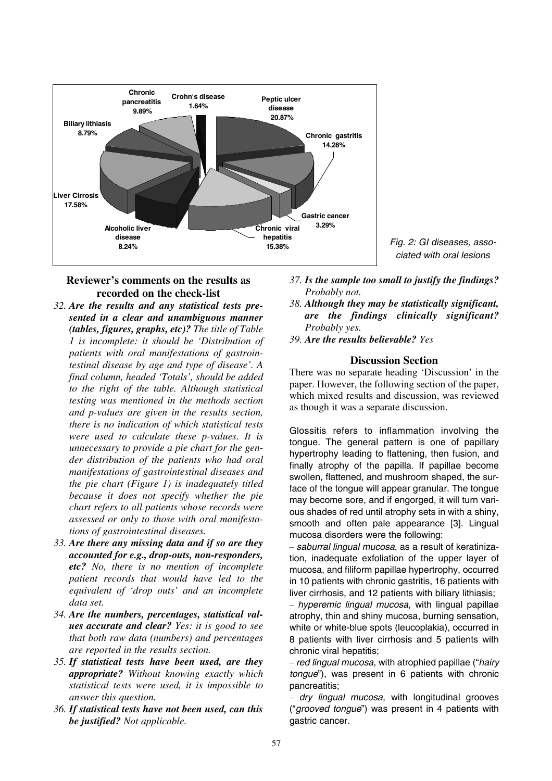

*Fig. 2: GI diseases, associated with oral lesions*

## **Reviewer's comments on the results as recorded on the check-list**

- *32. Are the results and any statistical tests presented in a clear and unambiguous manner (tables, figures, graphs, etc)? The title of Table 1 is incomplete: it should be 'Distribution of patients with oral manifestations of gastrointestinal disease by age and type of disease'. A final column, headed 'Totals', should be added to the right of the table. Although statistical testing was mentioned in the methods section and p-values are given in the results section, there is no indication of which statistical tests were used to calculate these p-values. It is unnecessary to provide a pie chart for the gender distribution of the patients who had oral manifestations of gastrointestinal diseases and the pie chart (Figure 1) is inadequately titled because it does not specify whether the pie chart refers to all patients whose records were assessed or only to those with oral manifestations of gastrointestinal diseases.*
- *33. Are there any missing data and if so are they accounted for e.g., drop-outs, non-responders, etc? No, there is no mention of incomplete patient records that would have led to the equivalent of 'drop outs' and an incomplete data set.*
- *34. Are the numbers, percentages, statistical values accurate and clear? Yes: it is good to see that both raw data (numbers) and percentages are reported in the results section.*
- *35. If statistical tests have been used, are they appropriate? Without knowing exactly which statistical tests were used, it is impossible to answer this question.*
- *36. If statistical tests have not been used, can this be justified? Not applicable.*
- *37. Is the sample too small to justify the findings? Probably not.*
- *38. Although they may be statistically significant, are the findings clinically significant? Probably yes.*
- *39. Are the results believable? Yes*

#### **Discussion Section**

There was no separate heading 'Discussion' in the paper. However, the following section of the paper, which mixed results and discussion, was reviewed as though it was a separate discussion.

Glossitis refers to inflammation involving the tongue. The general pattern is one of papillary hypertrophy leading to flattening, then fusion, and finally atrophy of the papilla. If papillae become swollen, flattened, and mushroom shaped, the surface of the tongue will appear granular. The tongue may become sore, and if engorged, it will turn various shades of red until atrophy sets in with a shiny, smooth and often pale appearance [3]. Lingual mucosa disorders were the following:

– *saburral lingual mucosa*, as a result of keratinization, inadequate exfoliation of the upper layer of mucosa, and filiform papillae hypertrophy, occurred in 10 patients with chronic gastritis, 16 patients with liver cirrhosis, and 12 patients with biliary lithiasis;

– *hyperemic lingual mucosa*, with lingual papillae atrophy, thin and shiny mucosa, burning sensation, white or white-blue spots (leucoplakia), occurred in 8 patients with liver cirrhosis and 5 patients with chronic viral hepatitis;

– *red lingual mucosa*, with atrophied papillae ("*hairy tongue*"), was present in 6 patients with chronic pancreatitis;

– *dry lingual mucosa*, with longitudinal grooves ("*grooved tongue*") was present in 4 patients with gastric cancer.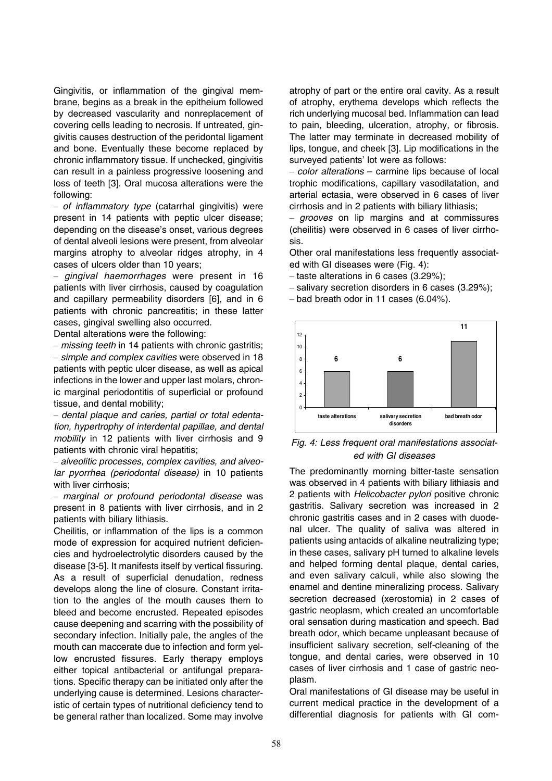Gingivitis, or inflammation of the gingival membrane, begins as a break in the epitheium followed by decreased vascularity and nonreplacement of covering cells leading to necrosis. If untreated, gingivitis causes destruction of the peridontal ligament and bone. Eventually these become replaced by chronic inflammatory tissue. If unchecked, gingivitis can result in a painless progressive loosening and loss of teeth [3]. Oral mucosa alterations were the following:

– *of inflammatory type* (catarrhal gingivitis) were present in 14 patients with peptic ulcer disease; depending on the disease's onset, various degrees of dental alveoli lesions were present, from alveolar margins atrophy to alveolar ridges atrophy, in 4 cases of ulcers older than 10 years;

– *gingival haemorrhages* were present in 16 patients with liver cirrhosis, caused by coagulation and capillary permeability disorders [6], and in 6 patients with chronic pancreatitis; in these latter cases, gingival swelling also occurred.

Dental alterations were the following:

– *missing teeth* in 14 patients with chronic gastritis; – *simple and complex cavities* were observed in 18 patients with peptic ulcer disease, as well as apical infections in the lower and upper last molars, chronic marginal periodontitis of superficial or profound tissue, and dental mobility;

– *dental plaque and caries, partial or total edentation, hypertrophy of interdental papillae, and dental mobility* in 12 patients with liver cirrhosis and 9 patients with chronic viral hepatitis;

– *alveolitic processes, complex cavities, and alveolar pyorrhea (periodontal disease)* in 10 patients with liver cirrhosis;

– *marginal or profound periodontal disease* was present in 8 patients with liver cirrhosis, and in 2 patients with biliary lithiasis.

Cheilitis, or inflammation of the lips is a common mode of expression for acquired nutrient deficiencies and hydroelectrolytic disorders caused by the disease [3-5]. It manifests itself by vertical fissuring. As a result of superficial denudation, redness develops along the line of closure. Constant irritation to the angles of the mouth causes them to bleed and become encrusted. Repeated episodes cause deepening and scarring with the possibility of secondary infection. Initially pale, the angles of the mouth can maccerate due to infection and form yellow encrusted fissures. Early therapy employs either topical antibacterial or antifungal preparations. Specific therapy can be initiated only after the underlying cause is determined. Lesions characteristic of certain types of nutritional deficiency tend to be general rather than localized. Some may involve atrophy of part or the entire oral cavity. As a result of atrophy, erythema develops which reflects the rich underlying mucosal bed. Inflammation can lead to pain, bleeding, ulceration, atrophy, or fibrosis. The latter may terminate in decreased mobility of lips, tongue, and cheek [3]. Lip modifications in the surveyed patients' lot were as follows:

– *color alterations* – carmine lips because of local trophic modifications, capillary vasodilatation, and arterial ectasia, were observed in 6 cases of liver cirrhosis and in 2 patients with biliary lithiasis;

– *grooves* on lip margins and at commissures (cheilitis) were observed in 6 cases of liver cirrhosis.

Other oral manifestations less frequently associated with GI diseases were (Fig. 4):

- taste alterations in 6 cases (3.29%);
- salivary secretion disorders in 6 cases (3.29%);
- bad breath odor in 11 cases (6.04%).



*Fig. 4: Less frequent oral manifestations associated with GI diseases*

The predominantly morning bitter-taste sensation was observed in 4 patients with biliary lithiasis and 2 patients with *Helicobacter pylori* positive chronic gastritis. Salivary secretion was increased in 2 chronic gastritis cases and in 2 cases with duodenal ulcer. The quality of saliva was altered in patients using antacids of alkaline neutralizing type; in these cases, salivary pH turned to alkaline levels and helped forming dental plaque, dental caries, and even salivary calculi, while also slowing the enamel and dentine mineralizing process. Salivary secretion decreased (xerostomia) in 2 cases of gastric neoplasm, which created an uncomfortable oral sensation during mastication and speech. Bad breath odor, which became unpleasant because of insufficient salivary secretion, self-cleaning of the tongue, and dental caries, were observed in 10 cases of liver cirrhosis and 1 case of gastric neoplasm.

Oral manifestations of GI disease may be useful in current medical practice in the development of a differential diagnosis for patients with GI com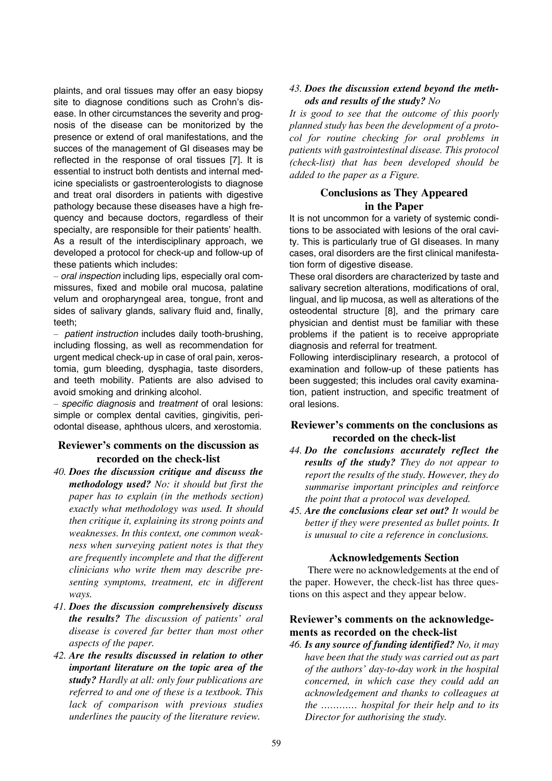plaints, and oral tissues may offer an easy biopsy site to diagnose conditions such as Crohn's disease. In other circumstances the severity and prognosis of the disease can be monitorized by the presence or extend of oral manifestations, and the succes of the management of GI diseases may be reflected in the response of oral tissues [7]. It is essential to instruct both dentists and internal medicine specialists or gastroenterologists to diagnose and treat oral disorders in patients with digestive pathology because these diseases have a high frequency and because doctors, regardless of their specialty, are responsible for their patients' health. As a result of the interdisciplinary approach, we developed a protocol for check-up and follow-up of these patients which includes:

– *oral inspection* including lips, especially oral commissures, fixed and mobile oral mucosa, palatine velum and oropharyngeal area, tongue, front and sides of salivary glands, salivary fluid and, finally, teeth;

– *patient instruction* includes daily tooth-brushing, including flossing, as well as recommendation for urgent medical check-up in case of oral pain, xerostomia, gum bleeding, dysphagia, taste disorders, and teeth mobility. Patients are also advised to avoid smoking and drinking alcohol.

– *specific diagnosis* and *treatment* of oral lesions: simple or complex dental cavities, gingivitis, periodontal disease, aphthous ulcers, and xerostomia.

# **Reviewer's comments on the discussion as recorded on the check-list**

- *40. Does the discussion critique and discuss the methodology used? No: it should but first the paper has to explain (in the methods section) exactly what methodology was used. It should then critique it, explaining its strong points and weaknesses. In this context, one common weakness when surveying patient notes is that they are frequently incomplete and that the different clinicians who write them may describe presenting symptoms, treatment, etc in different ways.*
- *41. Does the discussion comprehensively discuss the results? The discussion of patients' oral disease is covered far better than most other aspects of the paper.*
- *42. Are the results discussed in relation to other important literature on the topic area of the study? Hardly at all: only four publications are referred to and one of these is a textbook. This lack of comparison with previous studies underlines the paucity of the literature review.*

## *43. Does the discussion extend beyond the methods and results of the study? No*

*It is good to see that the outcome of this poorly planned study has been the development of a protocol for routine checking for oral problems in patients with gastrointestinal disease. This protocol (check-list) that has been developed should be added to the paper as a Figure.*

# **Conclusions as They Appeared in the Paper**

It is not uncommon for a variety of systemic conditions to be associated with lesions of the oral cavity. This is particularly true of GI diseases. In many cases, oral disorders are the first clinical manifestation form of digestive disease.

These oral disorders are characterized by taste and salivary secretion alterations, modifications of oral, lingual, and lip mucosa, as well as alterations of the osteodental structure [8], and the primary care physician and dentist must be familiar with these problems if the patient is to receive appropriate diagnosis and referral for treatment.

Following interdisciplinary research, a protocol of examination and follow-up of these patients has been suggested; this includes oral cavity examination, patient instruction, and specific treatment of oral lesions.

## **Reviewer's comments on the conclusions as recorded on the check-list**

- *44. Do the conclusions accurately reflect the results of the study? They do not appear to report the results of the study. However, they do summarise important principles and reinforce the point that a protocol was developed.*
- *45. Are the conclusions clear set out? It would be better if they were presented as bullet points. It is unusual to cite a reference in conclusions.*

## **Acknowledgements Section**

There were no acknowledgements at the end of the paper. However, the check-list has three questions on this aspect and they appear below.

## **Reviewer's comments on the acknowledgements as recorded on the check-list**

*46. Is any source of funding identified? No, it may have been that the study was carried out as part of the authors' day-to-day work in the hospital concerned, in which case they could add an acknowledgement and thanks to colleagues at the ………… hospital for their help and to its Director for authorising the study.*